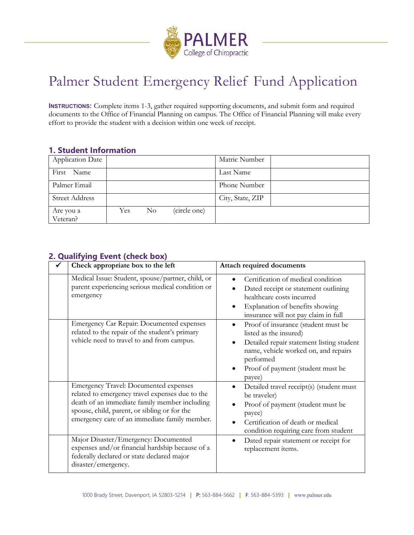

# Palmer Student Emergency Relief Fund Application

**INSTRUCTIONS:** Complete items 1-3, gather required supporting documents, and submit form and required documents to the Office of Financial Planning on campus. The Office of Financial Planning will make every effort to provide the student with a decision within one week of receipt.

## **1. Student Information**

| <b>Application Date</b> |      |                |              | Matric Number    |  |
|-------------------------|------|----------------|--------------|------------------|--|
| First Name              |      |                |              | Last Name        |  |
| Palmer Email            |      |                |              | Phone Number     |  |
| <b>Street Address</b>   |      |                |              | City, State, ZIP |  |
| Are you a<br>Veteran?   | Yes. | N <sub>o</sub> | (circle one) |                  |  |

## **2. Qualifying Event (check box)**

| Check appropriate box to the left                                                                                                                                                                                                                 | Attach required documents                                                                                                                                                                                      |
|---------------------------------------------------------------------------------------------------------------------------------------------------------------------------------------------------------------------------------------------------|----------------------------------------------------------------------------------------------------------------------------------------------------------------------------------------------------------------|
| Medical Issue: Student, spouse/partner, child, or<br>parent experiencing serious medical condition or<br>emergency                                                                                                                                | Certification of medical condition<br>Dated receipt or statement outlining<br>healthcare costs incurred<br>Explanation of benefits showing<br>insurance will not pay claim in full                             |
| Emergency Car Repair: Documented expenses<br>related to the repair of the student's primary<br>vehicle need to travel to and from campus.                                                                                                         | Proof of insurance (student must be<br>listed as the insured)<br>Detailed repair statement listing student<br>name, vehicle worked on, and repairs<br>performed<br>Proof of payment (student must be<br>payee) |
| <b>Emergency Travel: Documented expenses</b><br>related to emergency travel expenses due to the<br>death of an immediate family member including<br>spouse, child, parent, or sibling or for the<br>emergency care of an immediate family member. | Detailed travel receipt(s) (student must<br>be traveler)<br>Proof of payment (student must be<br>payee)<br>Certification of death or medical<br>condition requiring care from student                          |
| Major Disaster/Emergency: Documented<br>expenses and/or financial hardship because of a<br>federally declared or state declared major<br>disaster/emergency.                                                                                      | Dated repair statement or receipt for<br>replacement items.                                                                                                                                                    |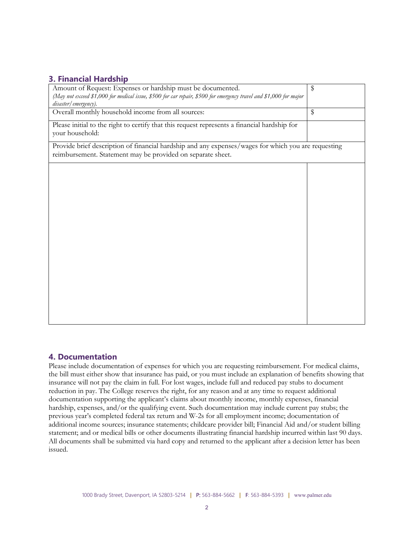## **3. Financial Hardship**

| Amount of Request: Expenses or hardship must be documented.                                                                                                        | \$                      |
|--------------------------------------------------------------------------------------------------------------------------------------------------------------------|-------------------------|
| (May not exceed \$1,000 for medical issue, \$500 for car repair, \$500 for emergency travel and \$1,000 for major<br>disaster/emergency).                          |                         |
| Overall monthly household income from all sources:                                                                                                                 | $\sqrt[6]{\frac{1}{2}}$ |
| Please initial to the right to certify that this request represents a financial hardship for<br>your household:                                                    |                         |
| Provide brief description of financial hardship and any expenses/wages for which you are requesting<br>reimbursement. Statement may be provided on separate sheet. |                         |
|                                                                                                                                                                    |                         |
|                                                                                                                                                                    |                         |
|                                                                                                                                                                    |                         |
|                                                                                                                                                                    |                         |
|                                                                                                                                                                    |                         |
|                                                                                                                                                                    |                         |
|                                                                                                                                                                    |                         |
|                                                                                                                                                                    |                         |
|                                                                                                                                                                    |                         |

## **4. Documentation**

Please include documentation of expenses for which you are requesting reimbursement. For medical claims, the bill must either show that insurance has paid, or you must include an explanation of benefits showing that insurance will not pay the claim in full. For lost wages, include full and reduced pay stubs to document reduction in pay. The College reserves the right, for any reason and at any time to request additional documentation supporting the applicant's claims about monthly income, monthly expenses, financial hardship, expenses, and/or the qualifying event. Such documentation may include current pay stubs; the previous year's completed federal tax return and W-2s for all employment income; documentation of additional income sources; insurance statements; childcare provider bill; Financial Aid and/or student billing statement; and or medical bills or other documents illustrating financial hardship incurred within last 90 days. All documents shall be submitted via hard copy and returned to the applicant after a decision letter has been issued.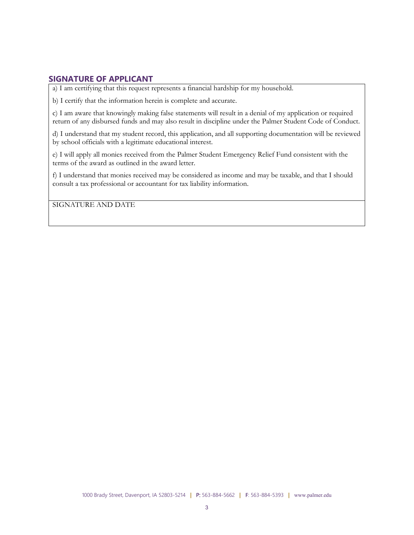#### **SIGNATURE OF APPLICANT**

a) I am certifying that this request represents a financial hardship for my household.

b) I certify that the information herein is complete and accurate.

c) I am aware that knowingly making false statements will result in a denial of my application or required return of any disbursed funds and may also result in discipline under the Palmer Student Code of Conduct.

d) I understand that my student record, this application, and all supporting documentation will be reviewed by school officials with a legitimate educational interest.

e) I will apply all monies received from the Palmer Student Emergency Relief Fund consistent with the terms of the award as outlined in the award letter.

f) I understand that monies received may be considered as income and may be taxable, and that I should consult a tax professional or accountant for tax liability information.

SIGNATURE AND DATE